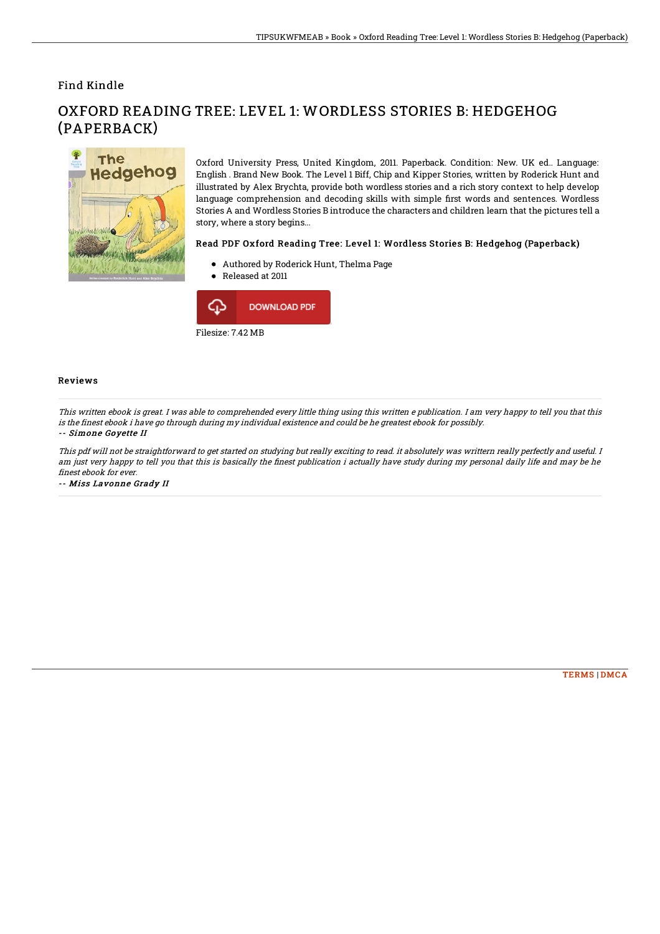### Find Kindle



# OXFORD READING TREE: LEVEL 1: WORDLESS STORIES B: HEDGEHOG (PAPERBACK)

Oxford University Press, United Kingdom, 2011. Paperback. Condition: New. UK ed.. Language: English . Brand New Book. The Level 1 Biff, Chip and Kipper Stories, written by Roderick Hunt and illustrated by Alex Brychta, provide both wordless stories and a rich story context to help develop language comprehension and decoding skills with simple first words and sentences. Wordless Stories A and Wordless Stories B introduce the characters and children learn that the pictures tell a story, where a story begins...

#### Read PDF Oxford Reading Tree: Level 1: Wordless Stories B: Hedgehog (Paperback)

- Authored by Roderick Hunt, Thelma Page
- Released at 2011



Filesize: 7.42 MB

#### Reviews

This written ebook is great. I was able to comprehended every little thing using this written <sup>e</sup> publication. I am very happy to tell you that this is the finest ebook i have go through during my individual existence and could be he greatest ebook for possibly.

#### -- Simone Goyette II

This pdf will not be straightforward to get started on studying but really exciting to read. it absolutely was writtern really perfectly and useful. I am just very happy to tell you that this is basically the finest publication i actually have study during my personal daily life and may be he finest ebook for ever.

-- Miss Lavonne Grady II